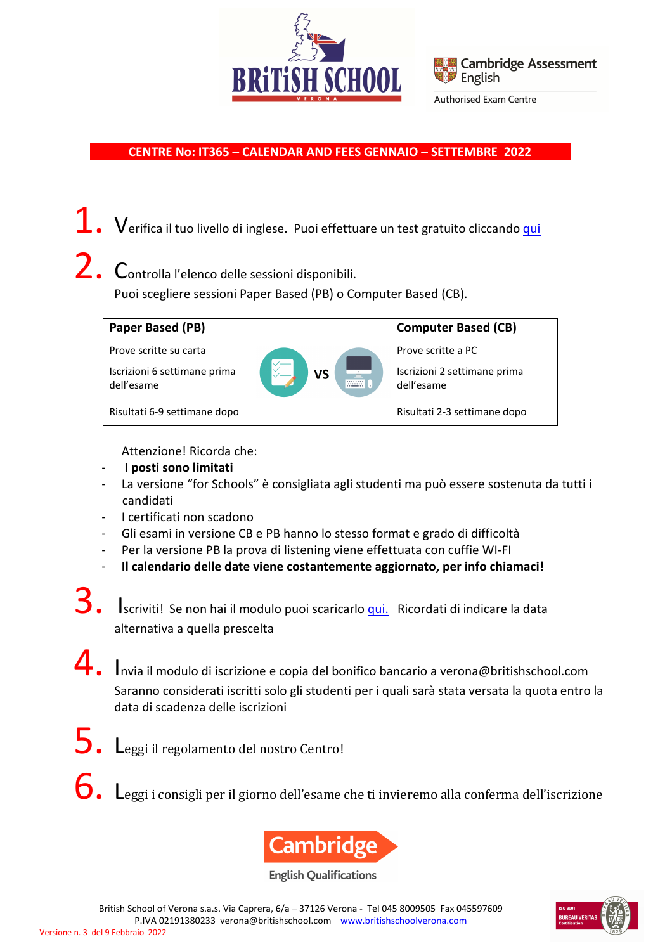



 **CENTRE No: IT365 – CALENDAR AND FEES GENNAIO – SETTEMBRE 2022** 

1. Verifica il tuo livello di inglese. Puoi effettuare un test gratuito cliccando *qui* 

2. Controlla l'elenco delle sessioni disponibili. Puoi scegliere sessioni Paper Based (PB) o Computer Based (CB).



Attenzione! Ricorda che:

- - **I posti sono limitati**
- La versione "for Schools" è consigliata agli studenti ma può essere sostenuta da tutti i candidati
- I certificati non scadono
- Gli esami in versione CB e PB hanno lo stesso format e grado di difficoltà
- Per la versione PB la prova di listening viene effettuata con cuffie WI-FI
- **Il calendario delle date viene costantemente aggiornato, per info chiamaci!**
- S. Iscriviti! Se non hai il modulo puoi scaricarlo <u>qui.</u> Ricordati di indicare la data alternativa a quella prescelta
- **4.** Invia il modulo di iscrizione e copia del bonifico bancario a verona@britishschool.com Saranno considerati iscritti solo gli studenti per i quali sarà stata versata la quota entro la data di scadenza delle iscrizioni
- Leggi il regolamento del nostro Centro!
- Leggi i consigli per il giorno dell'esame che ti invieremo alla conferma dell'iscrizione



**English Qualifications** 

British School of Verona s.a.s. Via Caprera, 6/a – 37126 Verona - Tel 045 8009505 Fax 045597609 P.IVA 02191380233 verona@britishschool.com www.britishschoolverona.com

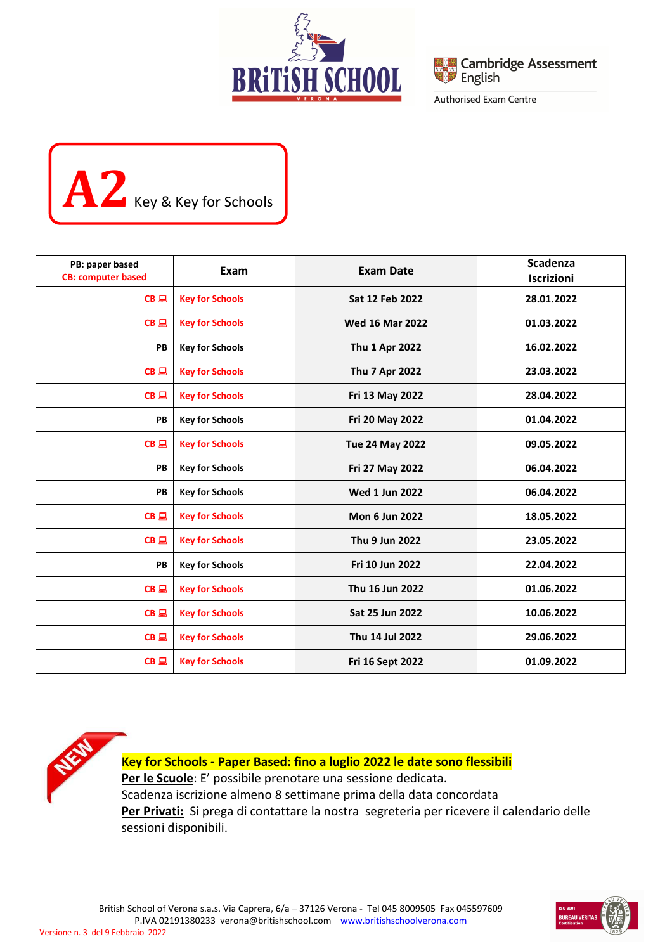



# **A2** Key & Key for Schools

| PB: paper based<br><b>CB: computer based</b> | Exam                   | <b>Exam Date</b>       | <b>Scadenza</b><br><b>Iscrizioni</b> |
|----------------------------------------------|------------------------|------------------------|--------------------------------------|
| $CB \square$                                 | <b>Key for Schools</b> | Sat 12 Feb 2022        | 28.01.2022                           |
| $CB \square$                                 | <b>Key for Schools</b> | <b>Wed 16 Mar 2022</b> | 01.03.2022                           |
| PB                                           | <b>Key for Schools</b> | <b>Thu 1 Apr 2022</b>  | 16.02.2022                           |
| $CB \square$                                 | <b>Key for Schools</b> | Thu 7 Apr 2022         | 23.03.2022                           |
| $CB \square$                                 | <b>Key for Schools</b> | Fri 13 May 2022        | 28.04.2022                           |
| PB                                           | <b>Key for Schools</b> | Fri 20 May 2022        | 01.04.2022                           |
| $CB \square$                                 | <b>Key for Schools</b> | <b>Tue 24 May 2022</b> | 09.05.2022                           |
| PB                                           | <b>Key for Schools</b> | Fri 27 May 2022        | 06.04.2022                           |
| PB                                           | <b>Key for Schools</b> | <b>Wed 1 Jun 2022</b>  | 06.04.2022                           |
| CB                                           | <b>Key for Schools</b> | <b>Mon 6 Jun 2022</b>  | 18.05.2022                           |
| $CB \square$                                 | <b>Key for Schools</b> | Thu 9 Jun 2022         | 23.05.2022                           |
| PB                                           | <b>Key for Schools</b> | Fri 10 Jun 2022        | 22.04.2022                           |
| $CB \square$                                 | <b>Key for Schools</b> | Thu 16 Jun 2022        | 01.06.2022                           |
| $CB \square$                                 | <b>Key for Schools</b> | Sat 25 Jun 2022        | 10.06.2022                           |
| $CB \square$                                 | <b>Key for Schools</b> | Thu 14 Jul 2022        | 29.06.2022                           |
| $CB \square$                                 | <b>Key for Schools</b> | Fri 16 Sept 2022       | 01.09.2022                           |

**Key for Schools - Paper Based: fino a luglio 2022 le date sono flessibili**  Per le Scuole: E' possibile prenotare una sessione dedicata. Scadenza iscrizione almeno 8 settimane prima della data concordata Per Privati: Si prega di contattare la nostra segreteria per ricevere il calendario delle sessioni disponibili.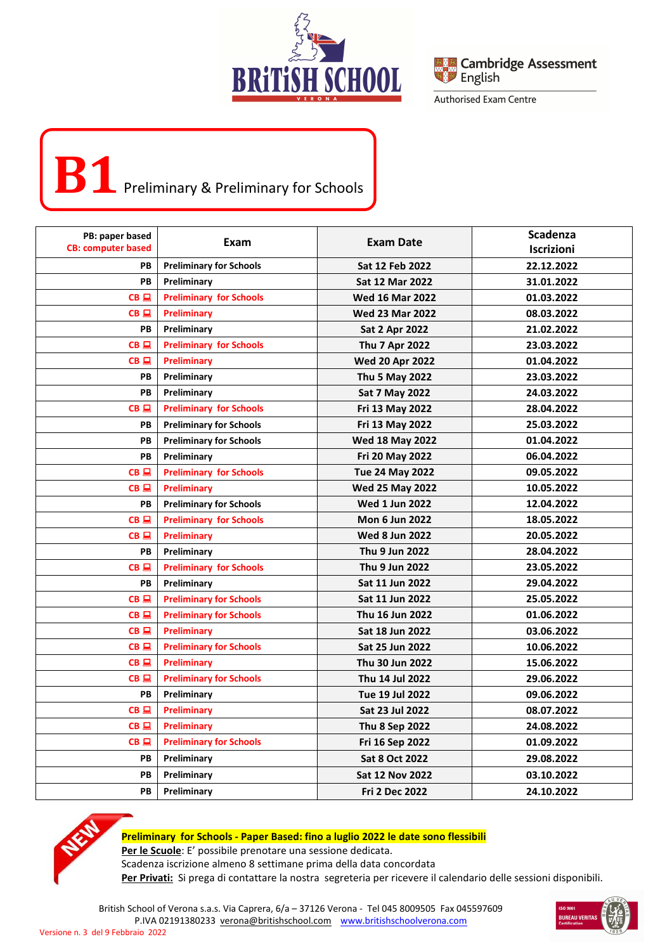



## **B1** Preliminary & Preliminary for Schools

| PB: paper based           |                                |                        | Scadenza   |
|---------------------------|--------------------------------|------------------------|------------|
| <b>CB: computer based</b> | Exam                           | Exam Date              | Iscrizioni |
| PB                        | <b>Preliminary for Schools</b> | Sat 12 Feb 2022        | 22.12.2022 |
| PB                        | Preliminary                    | Sat 12 Mar 2022        | 31.01.2022 |
| $CB \square$              | <b>Preliminary for Schools</b> | <b>Wed 16 Mar 2022</b> | 01.03.2022 |
| $CB$ $\Box$               | Preliminary                    | <b>Wed 23 Mar 2022</b> | 08.03.2022 |
| PB                        | Preliminary                    | <b>Sat 2 Apr 2022</b>  | 21.02.2022 |
| CB                        | <b>Preliminary for Schools</b> | Thu 7 Apr 2022         | 23.03.2022 |
| $CB \square$              | Preliminary                    | <b>Wed 20 Apr 2022</b> | 01.04.2022 |
| PВ                        | Preliminary                    | <b>Thu 5 May 2022</b>  | 23.03.2022 |
| PB                        | Preliminary                    | Sat 7 May 2022         | 24.03.2022 |
| $CB \square$              | <b>Preliminary for Schools</b> | Fri 13 May 2022        | 28.04.2022 |
| PВ                        | <b>Preliminary for Schools</b> | Fri 13 May 2022        | 25.03.2022 |
| PB                        | <b>Preliminary for Schools</b> | <b>Wed 18 May 2022</b> | 01.04.2022 |
| PB                        | Preliminary                    | <b>Fri 20 May 2022</b> | 06.04.2022 |
| $CB \square$              | <b>Preliminary for Schools</b> | <b>Tue 24 May 2022</b> | 09.05.2022 |
| $CB \square$              | Preliminary                    | <b>Wed 25 May 2022</b> | 10.05.2022 |
| PB                        | <b>Preliminary for Schools</b> | <b>Wed 1 Jun 2022</b>  | 12.04.2022 |
| $CB \square$              | <b>Preliminary for Schools</b> | Mon 6 Jun 2022         | 18.05.2022 |
| $CB \square$              | Preliminary                    | <b>Wed 8 Jun 2022</b>  | 20.05.2022 |
| PВ                        | Preliminary                    | Thu 9 Jun 2022         | 28.04.2022 |
| $CB \square$              | <b>Preliminary for Schools</b> | Thu 9 Jun 2022         | 23.05.2022 |
| PB                        | Preliminary                    | Sat 11 Jun 2022        | 29.04.2022 |
| $CB \square$              | <b>Preliminary for Schools</b> | Sat 11 Jun 2022        | 25.05.2022 |
| $CB \square$              | <b>Preliminary for Schools</b> | Thu 16 Jun 2022        | 01.06.2022 |
| $CB \square$              | Preliminary                    | Sat 18 Jun 2022        | 03.06.2022 |
| $CB$ $\Box$               | <b>Preliminary for Schools</b> | <b>Sat 25 Jun 2022</b> | 10.06.2022 |
| $CB \sqsubseteq$          | <b>Preliminary</b>             | Thu 30 Jun 2022        | 15.06.2022 |
| $CB$ $\Box$               | <b>Preliminary for Schools</b> | Thu 14 Jul 2022        | 29.06.2022 |
| PB                        | Preliminary                    | Tue 19 Jul 2022        | 09.06.2022 |
| $CB$ $\Box$               | <b>Preliminary</b>             | Sat 23 Jul 2022        | 08.07.2022 |
| $CB \square$              | <b>Preliminary</b>             | <b>Thu 8 Sep 2022</b>  | 24.08.2022 |
| $CB \square$              | <b>Preliminary for Schools</b> | Fri 16 Sep 2022        | 01.09.2022 |
| PB                        | Preliminary                    | <b>Sat 8 Oct 2022</b>  | 29.08.2022 |
| PB                        | Preliminary                    | <b>Sat 12 Nov 2022</b> | 03.10.2022 |
| PB                        | Preliminary                    | <b>Fri 2 Dec 2022</b>  | 24.10.2022 |



#### **Preliminary for Schools - Paper Based: fino a luglio 2022 le date sono flessibili**

**Per le Scuole**: E' possibile prenotare una sessione dedicata.

Scadenza iscrizione almeno 8 settimane prima della data concordata

Per Privati: Si prega di contattare la nostra segreteria per ricevere il calendario delle sessioni disponibili.

British School of Verona s.a.s. Via Caprera, 6/a – 37126 Verona - Tel 045 8009505 Fax 045597609 P.IVA 02191380233 verona@britishschool.com www.britishschoolverona.com

Versione n. 3 del 9 Febbraio 2022

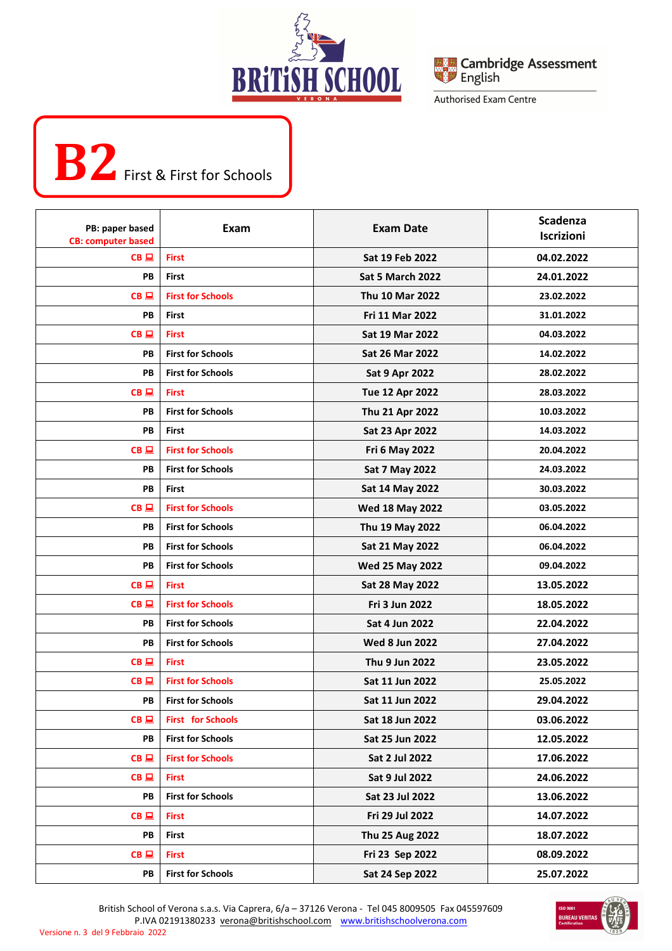



## **B2** First & First for Schools

í

| PB: paper based<br><b>CB: computer based</b> | Exam                     | <b>Exam Date</b>        | <b>Scadenza</b><br>Iscrizioni |
|----------------------------------------------|--------------------------|-------------------------|-------------------------------|
| $CB \square$                                 | <b>First</b>             | Sat 19 Feb 2022         | 04.02.2022                    |
| PВ                                           | First                    | <b>Sat 5 March 2022</b> | 24.01.2022                    |
| $CB \square$                                 | <b>First for Schools</b> | Thu 10 Mar 2022         | 23.02.2022                    |
| PВ                                           | First                    | Fri 11 Mar 2022         | 31.01.2022                    |
| $CB \square$                                 | <b>First</b>             | <b>Sat 19 Mar 2022</b>  | 04.03.2022                    |
| PВ                                           | <b>First for Schools</b> | Sat 26 Mar 2022         | 14.02.2022                    |
| PВ                                           | <b>First for Schools</b> | <b>Sat 9 Apr 2022</b>   | 28.02.2022                    |
| $CB \square$                                 | <b>First</b>             | <b>Tue 12 Apr 2022</b>  | 28.03.2022                    |
| PВ                                           | <b>First for Schools</b> | Thu 21 Apr 2022         | 10.03.2022                    |
| PВ                                           | <b>First</b>             | Sat 23 Apr 2022         | 14.03.2022                    |
| $CB \square$                                 | <b>First for Schools</b> | <b>Fri 6 May 2022</b>   | 20.04.2022                    |
| PB                                           | <b>First for Schools</b> | Sat 7 May 2022          | 24.03.2022                    |
| PВ                                           | First                    | Sat 14 May 2022         | 30.03.2022                    |
| $CB \square$                                 | <b>First for Schools</b> | <b>Wed 18 May 2022</b>  | 03.05.2022                    |
| PВ                                           | <b>First for Schools</b> | Thu 19 May 2022         | 06.04.2022                    |
| PВ                                           | <b>First for Schools</b> | Sat 21 May 2022         | 06.04.2022                    |
| PB                                           | <b>First for Schools</b> | <b>Wed 25 May 2022</b>  | 09.04.2022                    |
| $CB \square$                                 | <b>First</b>             | Sat 28 May 2022         | 13.05.2022                    |
| $CB \square$                                 | <b>First for Schools</b> | Fri 3 Jun 2022          | 18.05.2022                    |
| PB                                           | <b>First for Schools</b> | Sat 4 Jun 2022          | 22.04.2022                    |
| PВ                                           | <b>First for Schools</b> | <b>Wed 8 Jun 2022</b>   | 27.04.2022                    |
| CB                                           | <b>First</b>             | Thu 9 Jun 2022          | 23.05.2022                    |
| $CB \square$                                 | <b>First for Schools</b> | Sat 11 Jun 2022         | 25.05.2022                    |
| PВ                                           | <b>First for Schools</b> | Sat 11 Jun 2022         | 29.04.2022                    |
| $CB \square$                                 | <b>First</b> for Schools | Sat 18 Jun 2022         | 03.06.2022                    |
| PB                                           | <b>First for Schools</b> | Sat 25 Jun 2022         | 12.05.2022                    |
| $CB \square$                                 | <b>First for Schools</b> | <b>Sat 2 Jul 2022</b>   | 17.06.2022                    |
| $CB \square$                                 | <b>First</b>             | <b>Sat 9 Jul 2022</b>   | 24.06.2022                    |
| PB                                           | <b>First for Schools</b> | Sat 23 Jul 2022         | 13.06.2022                    |
| $CB \square$                                 | <b>First</b>             | Fri 29 Jul 2022         | 14.07.2022                    |
| PB                                           | <b>First</b>             | Thu 25 Aug 2022         | 18.07.2022                    |
| $CB \square$                                 | <b>First</b>             | Fri 23 Sep 2022         | 08.09.2022                    |
| PB                                           | <b>First for Schools</b> | Sat 24 Sep 2022         | 25.07.2022                    |

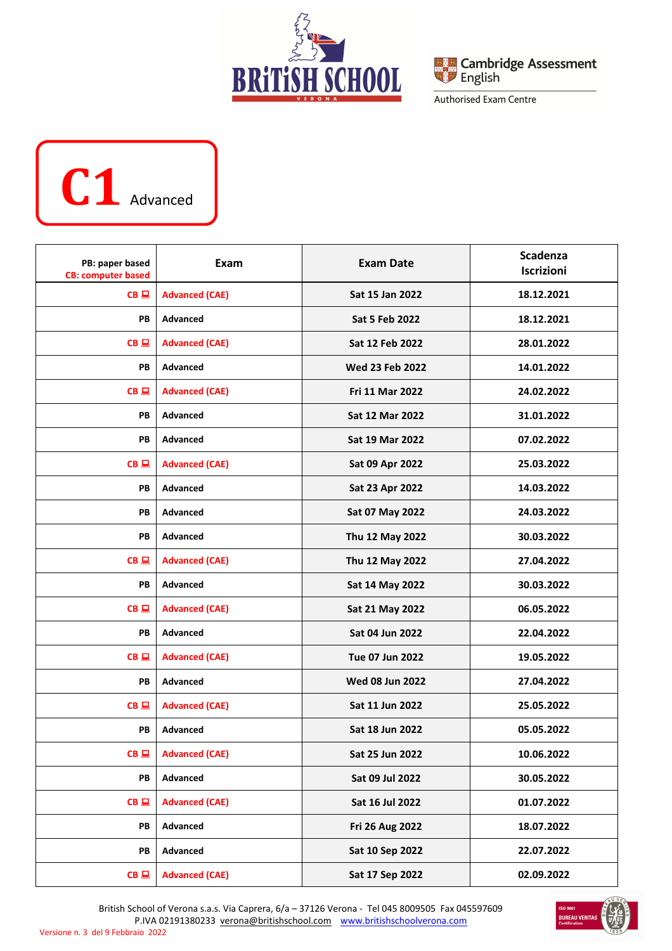





| PB: paper based<br><b>CB: computer based</b> | Exam                  | <b>Exam Date</b>       | <b>Scadenza</b><br>Iscrizioni |
|----------------------------------------------|-----------------------|------------------------|-------------------------------|
| $CB \square$                                 | <b>Advanced (CAE)</b> | Sat 15 Jan 2022        | 18.12.2021                    |
| PB                                           | <b>Advanced</b>       | <b>Sat 5 Feb 2022</b>  | 18.12.2021                    |
| $CB \square$                                 | <b>Advanced (CAE)</b> | Sat 12 Feb 2022        | 28.01.2022                    |
| PB                                           | <b>Advanced</b>       | <b>Wed 23 Feb 2022</b> | 14.01.2022                    |
| $CB \square$                                 | <b>Advanced (CAE)</b> | Fri 11 Mar 2022        | 24.02.2022                    |
| PB                                           | Advanced              | <b>Sat 12 Mar 2022</b> | 31.01.2022                    |
| PВ                                           | Advanced              | <b>Sat 19 Mar 2022</b> | 07.02.2022                    |
| $CB \square$                                 | <b>Advanced (CAE)</b> | Sat 09 Apr 2022        | 25.03.2022                    |
| PВ                                           | <b>Advanced</b>       | Sat 23 Apr 2022        | 14.03.2022                    |
| PB                                           | <b>Advanced</b>       | Sat 07 May 2022        | 24.03.2022                    |
| PB                                           | Advanced              | Thu 12 May 2022        | 30.03.2022                    |
| $CB \square$                                 | <b>Advanced (CAE)</b> | Thu 12 May 2022        | 27.04.2022                    |
| PВ                                           | <b>Advanced</b>       | Sat 14 May 2022        | 30.03.2022                    |
| $CB \square$                                 | <b>Advanced (CAE)</b> | Sat 21 May 2022        | 06.05.2022                    |
| PB                                           | Advanced              | Sat 04 Jun 2022        | 22.04.2022                    |
| $CB \square$                                 | <b>Advanced (CAE)</b> | <b>Tue 07 Jun 2022</b> | 19.05.2022                    |
| PB                                           | Advanced              | <b>Wed 08 Jun 2022</b> | 27.04.2022                    |
| CB                                           | <b>Advanced (CAE)</b> | Sat 11 Jun 2022        | 25.05.2022                    |
| PB                                           | Advanced              | Sat 18 Jun 2022        | 05.05.2022                    |
| $CB \sqsubseteq$                             | <b>Advanced (CAE)</b> | Sat 25 Jun 2022        | 10.06.2022                    |
| PB                                           | Advanced              | Sat 09 Jul 2022        | 30.05.2022                    |
| $CB \square$                                 | <b>Advanced (CAE)</b> | Sat 16 Jul 2022        | 01.07.2022                    |
| PB                                           | Advanced              | Fri 26 Aug 2022        | 18.07.2022                    |
| PB                                           | Advanced              | Sat 10 Sep 2022        | 22.07.2022                    |
| $CB \square$                                 | <b>Advanced (CAE)</b> | Sat 17 Sep 2022        | 02.09.2022                    |

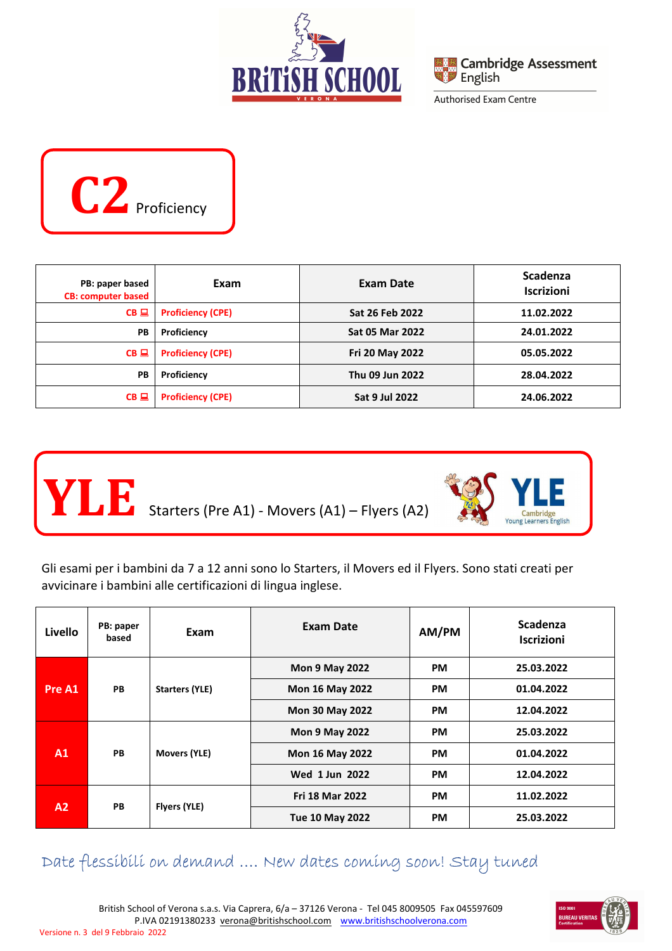





| PB: paper based<br><b>CB: computer based</b> | Exam                     | Exam Date              | <b>Scadenza</b><br><b>Iscrizioni</b> |
|----------------------------------------------|--------------------------|------------------------|--------------------------------------|
| $CB$ $\Box$                                  | <b>Proficiency (CPE)</b> | Sat 26 Feb 2022        | 11.02.2022                           |
| PB                                           | Proficiency              | <b>Sat 05 Mar 2022</b> | 24.01.2022                           |
| $CB \square$                                 | <b>Proficiency (CPE)</b> | Fri 20 May 2022        | 05.05.2022                           |
| PB                                           | Proficiency              | Thu 09 Jun 2022        | 28.04.2022                           |
| $CB \square$                                 | <b>Proficiency (CPE)</b> | <b>Sat 9 Jul 2022</b>  | 24.06.2022                           |



Gli esami per i bambini da 7 a 12 anni sono lo Starters, il Movers ed il Flyers. Sono stati creati per avvicinare i bambini alle certificazioni di lingua inglese.

| Livello      | PB: paper<br>based    | Exam                   | <b>Exam Date</b>       | AM/PM      | <b>Scadenza</b><br><b>Iscrizioni</b> |
|--------------|-----------------------|------------------------|------------------------|------------|--------------------------------------|
| Pre A1<br>PB | <b>Starters (YLE)</b> | <b>Mon 9 May 2022</b>  | <b>PM</b>              | 25.03.2022 |                                      |
|              |                       | <b>Mon 16 May 2022</b> | <b>PM</b>              | 01.04.2022 |                                      |
|              |                       | <b>Mon 30 May 2022</b> | <b>PM</b>              | 12.04.2022 |                                      |
| A1<br>PB     | Movers (YLE)          | <b>Mon 9 May 2022</b>  | <b>PM</b>              | 25.03.2022 |                                      |
|              |                       | <b>Mon 16 May 2022</b> | <b>PM</b>              | 01.04.2022 |                                      |
|              |                       | Wed 1 Jun 2022         | <b>PM</b>              | 12.04.2022 |                                      |
| A2<br>PB     |                       | Flyers (YLE)           | <b>Fri 18 Mar 2022</b> | <b>PM</b>  | 11.02.2022                           |
|              |                       |                        | <b>Tue 10 May 2022</b> | <b>PM</b>  | 25.03.2022                           |

### Date flessibili on demand …. New dates coming soon! Stay tuned

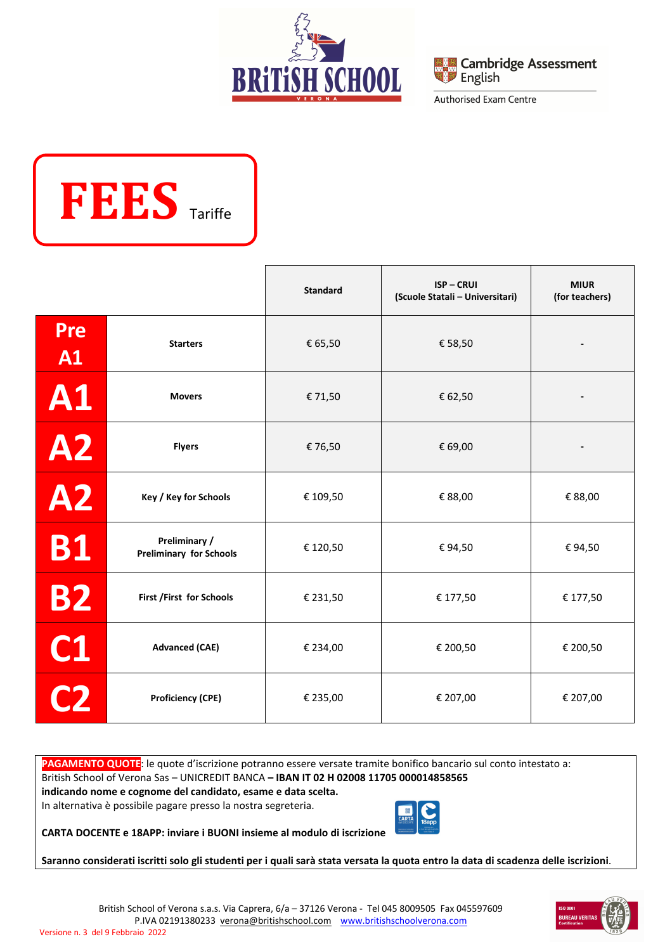





|                  |                                                 | <b>Standard</b> | <b>ISP-CRUI</b><br>(Scuole Statali - Universitari) | <b>MIUR</b><br>(for teachers) |
|------------------|-------------------------------------------------|-----------------|----------------------------------------------------|-------------------------------|
| <b>Pre</b><br>A1 | <b>Starters</b>                                 | € 65,50         | € 58,50                                            |                               |
| <b>A1</b>        | <b>Movers</b>                                   | € 71,50         | € 62,50                                            |                               |
| <b>A2</b>        | <b>Flyers</b>                                   | €76,50          | € 69,00                                            |                               |
| <b>A2</b>        | Key / Key for Schools                           | € 109,50        | € 88,00                                            | € 88,00                       |
| <b>B1</b>        | Preliminary /<br><b>Preliminary for Schools</b> | € 120,50        | €94,50                                             | €94,50                        |
| <b>B2</b>        | First /First for Schools                        | € 231,50        | € 177,50                                           | € 177,50                      |
| C1               | <b>Advanced (CAE)</b>                           | € 234,00        | € 200,50                                           | € 200,50                      |
| C <sub>2</sub>   | <b>Proficiency (CPE)</b>                        | € 235,00        | € 207,00                                           | € 207,00                      |

**PAGAMENTO QUOTE**: le quote d'iscrizione potranno essere versate tramite bonifico bancario sul conto intestato a: British School of Verona Sas – UNICREDIT BANCA **– IBAN IT 02 H 02008 11705 000014858565 indicando nome e cognome del candidato, esame e data scelta.** 

In alternativa è possibile pagare presso la nostra segreteria.



**CARTA DOCENTE e 18APP: inviare i BUONI insieme al modulo di iscrizione** 

**Saranno considerati iscritti solo gli studenti per i quali sarà stata versata la quota entro la data di scadenza delle iscrizioni**.